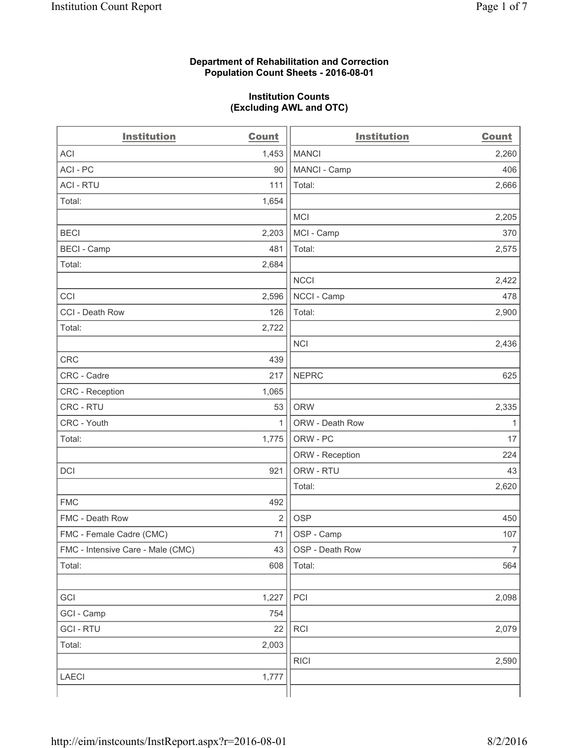## **Department of Rehabilitation and Correction Population Count Sheets - 2016-08-01**

## **Institution Counts (Excluding AWL and OTC)**

| <b>Institution</b>                | <b>Count</b>   | <b>Institution</b> | <b>Count</b>   |
|-----------------------------------|----------------|--------------------|----------------|
| <b>ACI</b>                        | 1,453          | <b>MANCI</b>       | 2,260          |
| ACI-PC                            | 90             | MANCI - Camp       | 406            |
| <b>ACI - RTU</b>                  | 111            | Total:             | 2,666          |
| Total:                            | 1,654          |                    |                |
|                                   |                | <b>MCI</b>         | 2,205          |
| <b>BECI</b>                       | 2,203          | MCI - Camp         | 370            |
| <b>BECI</b> - Camp                | 481            | Total:             | 2,575          |
| Total:                            | 2,684          |                    |                |
|                                   |                | <b>NCCI</b>        | 2,422          |
| CCI                               | 2,596          | NCCI - Camp        | 478            |
| CCI - Death Row                   | 126            | Total:             | 2,900          |
| Total:                            | 2,722          |                    |                |
|                                   |                | <b>NCI</b>         | 2,436          |
| <b>CRC</b>                        | 439            |                    |                |
| CRC - Cadre                       | 217            | <b>NEPRC</b>       | 625            |
| CRC - Reception                   | 1,065          |                    |                |
| CRC - RTU                         | 53             | <b>ORW</b>         | 2,335          |
| CRC - Youth                       | 1              | ORW - Death Row    | $\mathbf{1}$   |
| Total:                            | 1,775          | ORW - PC           | 17             |
|                                   |                | ORW - Reception    | 224            |
| DCI                               | 921            | ORW - RTU          | 43             |
|                                   |                | Total:             | 2,620          |
| <b>FMC</b>                        | 492            |                    |                |
| FMC - Death Row                   | $\overline{2}$ | <b>OSP</b>         | 450            |
| FMC - Female Cadre (CMC)          | 71             | OSP - Camp         | 107            |
| FMC - Intensive Care - Male (CMC) | 43             | OSP - Death Row    | $\overline{7}$ |
| Total:                            | 608            | Total:             | 564            |
|                                   |                |                    |                |
| GCI                               | 1,227          | PCI                | 2,098          |
| GCI - Camp                        | 754            |                    |                |
| <b>GCI-RTU</b>                    | 22             | RCI                | 2,079          |
| Total:                            | 2,003          |                    |                |
|                                   |                | <b>RICI</b>        | 2,590          |
| <b>LAECI</b>                      | 1,777          |                    |                |
|                                   |                |                    |                |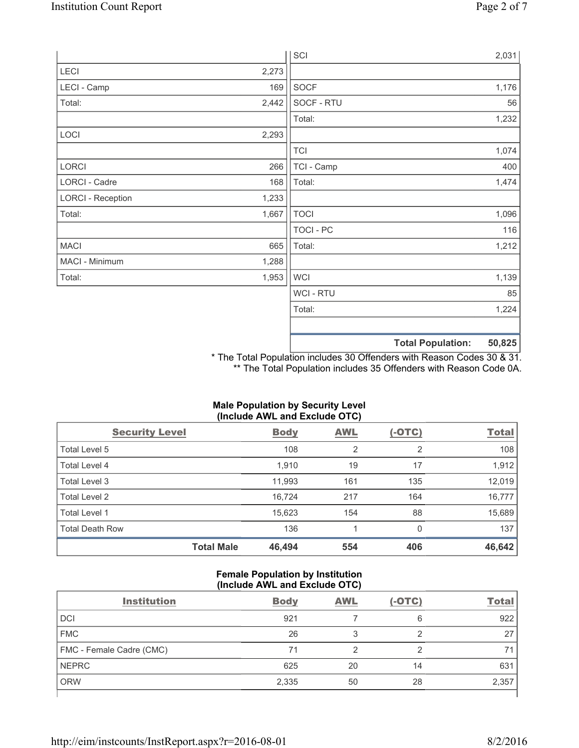|                          |       |                | <b>Total Population:</b> | 50,825 |
|--------------------------|-------|----------------|--------------------------|--------|
|                          |       |                |                          |        |
|                          |       | Total:         |                          | 1,224  |
|                          |       | <b>WCI-RTU</b> |                          | 85     |
| Total:                   | 1,953 | <b>WCI</b>     |                          | 1,139  |
| MACI - Minimum           | 1,288 |                |                          |        |
| <b>MACI</b>              | 665   | Total:         |                          | 1,212  |
|                          |       | TOCI - PC      |                          | 116    |
| Total:                   | 1,667 | <b>TOCI</b>    |                          | 1,096  |
| <b>LORCI - Reception</b> | 1,233 |                |                          |        |
| LORCI - Cadre            | 168   | Total:         |                          | 1,474  |
| LORCI                    | 266   | TCI - Camp     |                          | 400    |
|                          |       | <b>TCI</b>     |                          | 1,074  |
| LOCI                     | 2,293 |                |                          |        |
|                          |       | Total:         |                          | 1,232  |
| Total:                   | 2,442 | SOCF - RTU     |                          | 56     |
| LECI - Camp              | 169   | SOCF           |                          | 1,176  |
| LECI                     | 2,273 |                |                          |        |
|                          |       | SCI            |                          | 2,031  |

\* The Total Population includes 30 Offenders with Reason Codes 30 & 31. \*\* The Total Population includes 35 Offenders with Reason Code 0A.

# **Male Population by Security Level (Include AWL and Exclude OTC)**

| <b>Security Level</b>  |                   | <b>Body</b> | AWL            | $(-OTC)$       | <b>Total</b> |
|------------------------|-------------------|-------------|----------------|----------------|--------------|
| Total Level 5          |                   | 108         | $\overline{2}$ | $\overline{2}$ | 108          |
| Total Level 4          |                   | 1,910       | 19             | 17             | 1,912        |
| Total Level 3          |                   | 11,993      | 161            | 135            | 12,019       |
| Total Level 2          |                   | 16.724      | 217            | 164            | 16,777       |
| Total Level 1          |                   | 15,623      | 154            | 88             | 15,689       |
| <b>Total Death Row</b> |                   | 136         |                | 0              | 137          |
|                        | <b>Total Male</b> | 46,494      | 554            | 406            | 46,642       |

## **Female Population by Institution (Include AWL and Exclude OTC)**

| <b>Institution</b>       | <b>Body</b> | <b>AWL</b> | $(-OTC)$ | <b>Total</b> |
|--------------------------|-------------|------------|----------|--------------|
| <b>DCI</b>               | 921         |            | 6        | 922          |
| <b>FMC</b>               | 26          | 3          |          | 27           |
| FMC - Female Cadre (CMC) | 71          | ◠          | ◠        | 71           |
| <b>NEPRC</b>             | 625         | 20         | 14       | 631          |
| <b>ORW</b>               | 2,335       | 50         | 28       | 2,357        |
|                          |             |            |          |              |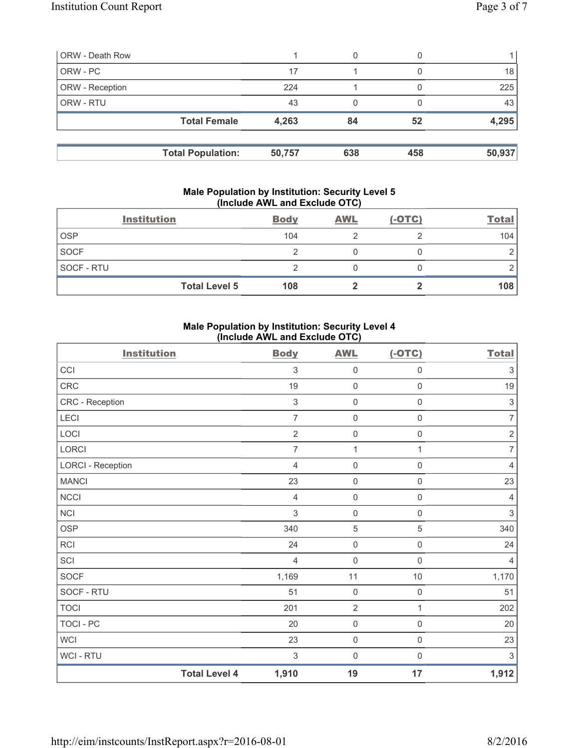| <b>ORW - Death Row</b> |                          |        | 0   |     |        |
|------------------------|--------------------------|--------|-----|-----|--------|
| ORW - PC               |                          | 17     |     |     | 18     |
| ORW - Reception        |                          | 224    |     |     | 225    |
| ORW - RTU              |                          | 43     |     |     | 43     |
|                        | <b>Total Female</b>      | 4,263  | 84  | 52  | 4,295  |
|                        | <b>Total Population:</b> | 50,757 | 638 | 458 | 50,937 |

#### **Male Population by Institution: Security Level 5 (Include AWL and Exclude OTC)**

|             | <b>Institution</b>   | <b>Body</b> | <b>AWL</b> | $(-OTC)$ | <b>Total</b> |
|-------------|----------------------|-------------|------------|----------|--------------|
| <b>OSP</b>  |                      | 104         |            |          | 104          |
| <b>SOCF</b> |                      |             |            |          |              |
| SOCF - RTU  |                      |             |            |          |              |
|             | <b>Total Level 5</b> | 108         |            |          | 108          |

# **Male Population by Institution: Security Level 4 (Include AWL and Exclude OTC)**

| <b>Institution</b>       |                      | <b>Body</b>    | <b>AWL</b>          | $(-OTC)$            | <b>Total</b>              |
|--------------------------|----------------------|----------------|---------------------|---------------------|---------------------------|
| CCI                      |                      | $\mathfrak{Z}$ | $\mathsf{O}\xspace$ | $\mathsf{O}\xspace$ | $\ensuremath{\mathsf{3}}$ |
| CRC                      |                      | 19             | $\mathbf 0$         | $\mathsf 0$         | 19                        |
| CRC - Reception          |                      | $\mathfrak{S}$ | $\mathsf{O}\xspace$ | $\mathsf 0$         | $\sqrt{3}$                |
| LECI                     |                      | $\overline{7}$ | $\mathsf{O}\xspace$ | 0                   | $\overline{7}$            |
| LOCI                     |                      | $\sqrt{2}$     | $\mathsf{O}\xspace$ | $\mathsf{O}\xspace$ | $\sqrt{2}$                |
| LORCI                    |                      | 7              | $\mathbf{1}$        | 1                   | $\overline{7}$            |
| <b>LORCI - Reception</b> |                      | $\overline{4}$ | $\mathbf 0$         | $\mathsf{O}\xspace$ | $\overline{4}$            |
| <b>MANCI</b>             |                      | 23             | $\mathsf{O}\xspace$ | 0                   | 23                        |
| <b>NCCI</b>              |                      | $\overline{4}$ | $\mathsf{O}\xspace$ | $\mathsf 0$         | $\overline{4}$            |
| NCI                      |                      | 3              | $\mathbf 0$         | $\mathsf{O}\xspace$ | $\sqrt{3}$                |
| <b>OSP</b>               |                      | 340            | $\overline{5}$      | 5                   | 340                       |
| <b>RCI</b>               |                      | 24             | $\mathsf{O}\xspace$ | $\mathsf{O}\xspace$ | 24                        |
| SCI                      |                      | $\overline{4}$ | $\mathbf 0$         | $\mathsf 0$         | $\overline{4}$            |
| <b>SOCF</b>              |                      | 1,169          | 11                  | $10$                | 1,170                     |
| SOCF - RTU               |                      | 51             | $\mathsf{O}\xspace$ | $\mathsf{O}\xspace$ | 51                        |
| <b>TOCI</b>              |                      | 201            | $\overline{2}$      | $\mathbf{1}$        | 202                       |
| <b>TOCI - PC</b>         |                      | 20             | $\mathsf{O}\xspace$ | $\mathsf{O}\xspace$ | 20                        |
| <b>WCI</b>               |                      | 23             | $\mathsf{O}\xspace$ | $\mathsf{O}\xspace$ | 23                        |
| <b>WCI-RTU</b>           |                      | $\mathfrak{S}$ | $\mathbf 0$         | $\boldsymbol{0}$    | $\sqrt{3}$                |
|                          | <b>Total Level 4</b> | 1,910          | 19                  | 17                  | 1,912                     |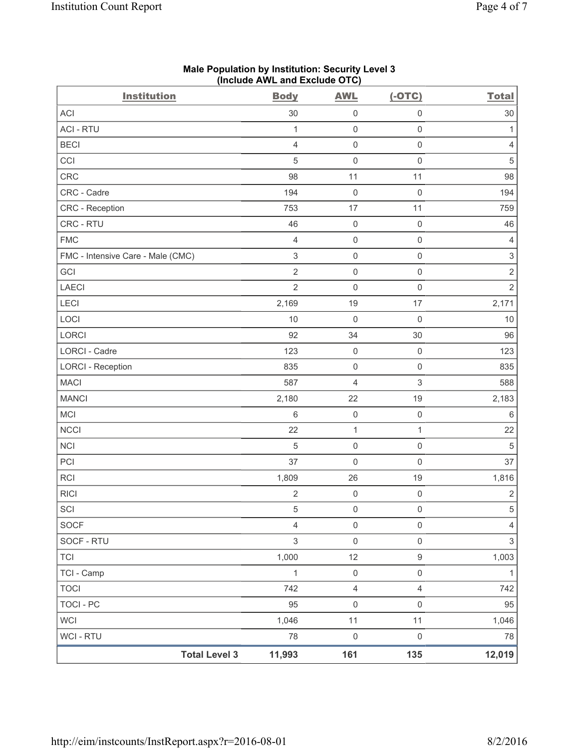| <b>Institution</b>                | <b>Body</b>    | <b>AWL</b>          | $(-OTC)$            | <b>Total</b>              |
|-----------------------------------|----------------|---------------------|---------------------|---------------------------|
| <b>ACI</b>                        | 30             | $\mathsf{O}\xspace$ | $\mathsf 0$         | 30                        |
| <b>ACI - RTU</b>                  | $\mathbf{1}$   | $\mathsf{O}\xspace$ | $\mathsf 0$         | 1                         |
| <b>BECI</b>                       | $\overline{4}$ | $\mathsf{O}\xspace$ | $\mathsf 0$         | 4                         |
| CCI                               | $\sqrt{5}$     | $\mathsf{O}\xspace$ | $\mathsf{O}\xspace$ | $\sqrt{5}$                |
| CRC                               | 98             | 11                  | 11                  | 98                        |
| CRC - Cadre                       | 194            | $\mathsf{O}\xspace$ | $\mathsf 0$         | 194                       |
| <b>CRC</b> - Reception            | 753            | 17                  | 11                  | 759                       |
| CRC - RTU                         | 46             | $\mathsf{O}\xspace$ | $\mathsf 0$         | 46                        |
| <b>FMC</b>                        | $\overline{4}$ | $\pmb{0}$           | $\mathsf 0$         | 4                         |
| FMC - Intensive Care - Male (CMC) | $\mathfrak{S}$ | $\mathsf{O}\xspace$ | $\mathsf 0$         | $\ensuremath{\mathsf{3}}$ |
| GCI                               | $\overline{2}$ | $\mathsf{O}\xspace$ | $\mathsf 0$         | $\sqrt{2}$                |
| <b>LAECI</b>                      | $\overline{2}$ | $\mathsf{O}\xspace$ | $\mathsf 0$         | $\overline{2}$            |
| LECI                              | 2,169          | 19                  | 17                  | 2,171                     |
| LOCI                              | 10             | $\mathsf{O}\xspace$ | $\mathsf{O}\xspace$ | 10                        |
| LORCI                             | 92             | 34                  | 30                  | 96                        |
| LORCI - Cadre                     | 123            | $\mathsf{O}\xspace$ | $\mathsf 0$         | 123                       |
| <b>LORCI - Reception</b>          | 835            | $\mathsf{O}\xspace$ | $\mathsf 0$         | 835                       |
| <b>MACI</b>                       | 587            | $\overline{4}$      | 3                   | 588                       |
| <b>MANCI</b>                      | 2,180          | 22                  | 19                  | 2,183                     |
| MCI                               | $\,6\,$        | $\mathsf{O}\xspace$ | $\mathsf 0$         | $6\,$                     |
| <b>NCCI</b>                       | 22             | $\mathbf{1}$        | $\mathbf{1}$        | 22                        |
| <b>NCI</b>                        | $\sqrt{5}$     | $\mathsf{O}\xspace$ | $\mathsf 0$         | $\sqrt{5}$                |
| PCI                               | 37             | $\mathsf{O}\xspace$ | $\mathsf 0$         | 37                        |
| RCI                               | 1,809          | 26                  | 19                  | 1,816                     |
| <b>RICI</b>                       | $\overline{2}$ | $\mathsf{O}\xspace$ | $\mathsf 0$         | $\mathbf 2$               |
| SCI                               | $\,$ 5 $\,$    | $\mathsf{O}\xspace$ | $\mathsf{O}\xspace$ | $\,$ 5 $\,$               |
| SOCF                              | $\overline{4}$ | $\mathsf 0$         | $\mathsf 0$         | $\overline{4}$            |
| SOCF - RTU                        | $\mathfrak{S}$ | $\mathsf{O}\xspace$ | $\mathsf 0$         | $\sqrt{3}$                |
| <b>TCI</b>                        | 1,000          | 12                  | $\boldsymbol{9}$    | 1,003                     |
| TCI - Camp                        | $\mathbf{1}$   | $\mathsf 0$         | $\mathsf{O}\xspace$ | $\mathbf{1}$              |
| <b>TOCI</b>                       | 742            | $\overline{4}$      | $\overline{4}$      | 742                       |
| <b>TOCI - PC</b>                  | 95             | $\mathsf{O}\xspace$ | $\mathsf 0$         | 95                        |
| <b>WCI</b>                        | 1,046          | 11                  | 11                  | 1,046                     |
| WCI - RTU                         | 78             | $\mathsf{O}\xspace$ | $\mathsf{O}\xspace$ | 78                        |
| <b>Total Level 3</b>              | 11,993         | 161                 | 135                 | 12,019                    |

# **Male Population by Institution: Security Level 3 (Include AWL and Exclude OTC)**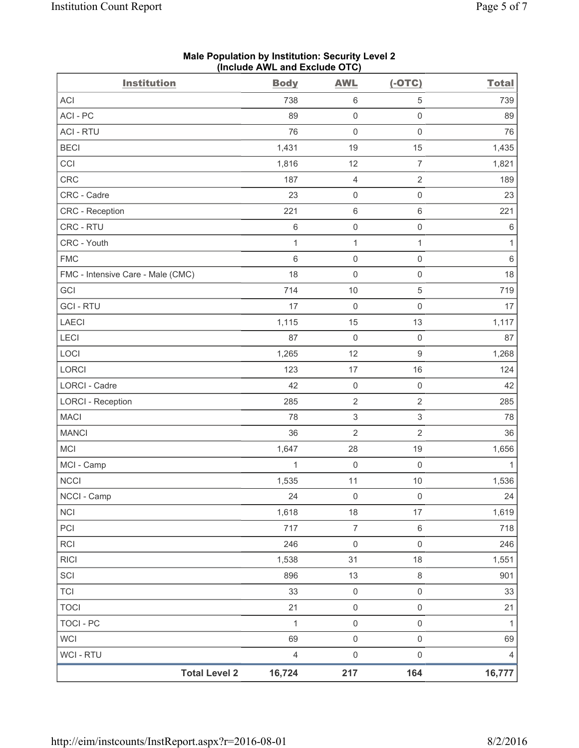| <b>Institution</b>                | $($ molution $\overline{C}$ and $\overline{C}$ actual $\overline{C}$ is $\overline{C}$<br><b>Body</b> | <b>AWL</b>                | $(-OTC)$                  | <b>Total</b> |
|-----------------------------------|-------------------------------------------------------------------------------------------------------|---------------------------|---------------------------|--------------|
| ACI                               | 738                                                                                                   | 6                         | 5                         | 739          |
| ACI - PC                          | 89                                                                                                    | $\mathsf{O}\xspace$       | $\mathsf{O}\xspace$       | 89           |
| <b>ACI - RTU</b>                  | 76                                                                                                    | $\mathsf{O}\xspace$       | $\mathsf 0$               | 76           |
| <b>BECI</b>                       | 1,431                                                                                                 | 19                        | 15                        | 1,435        |
| CCI                               | 1,816                                                                                                 | 12                        | $\overline{7}$            | 1,821        |
| <b>CRC</b>                        | 187                                                                                                   | 4                         | $\sqrt{2}$                | 189          |
| CRC - Cadre                       | 23                                                                                                    | $\mathsf 0$               | $\mathsf 0$               | 23           |
| CRC - Reception                   | 221                                                                                                   | 6                         | $\,6\,$                   | 221          |
| CRC - RTU                         | $\,6$                                                                                                 | $\mathsf{O}\xspace$       | $\mathsf 0$               | $\,6\,$      |
| CRC - Youth                       | $\mathbf{1}$                                                                                          | $\mathbf{1}$              | $\mathbf{1}$              | 1            |
| <b>FMC</b>                        | $\,6$                                                                                                 | $\mathsf{O}\xspace$       | $\mathsf 0$               | $\,6\,$      |
| FMC - Intensive Care - Male (CMC) | 18                                                                                                    | $\mathsf{O}\xspace$       | $\mathsf 0$               | 18           |
| GCI                               | 714                                                                                                   | $10$                      | 5                         | 719          |
| <b>GCI-RTU</b>                    | 17                                                                                                    | $\mathsf{O}\xspace$       | $\mathsf 0$               | 17           |
| <b>LAECI</b>                      | 1,115                                                                                                 | 15                        | 13                        | 1,117        |
| LECI                              | 87                                                                                                    | $\mathsf{O}\xspace$       | $\mathsf 0$               | 87           |
| LOCI                              | 1,265                                                                                                 | 12                        | $\mathsf g$               | 1,268        |
| LORCI                             | 123                                                                                                   | 17                        | 16                        | 124          |
| <b>LORCI - Cadre</b>              | 42                                                                                                    | $\mathsf 0$               | $\mathsf{O}\xspace$       | 42           |
| <b>LORCI - Reception</b>          | 285                                                                                                   | $\mathbf 2$               | $\overline{2}$            | 285          |
| MACI                              | 78                                                                                                    | $\ensuremath{\mathsf{3}}$ | $\ensuremath{\mathsf{3}}$ | 78           |
| <b>MANCI</b>                      | 36                                                                                                    | $\sqrt{2}$                | $\sqrt{2}$                | 36           |
| <b>MCI</b>                        | 1,647                                                                                                 | 28                        | 19                        | 1,656        |
| MCI - Camp                        | $\mathbf{1}$                                                                                          | $\mathsf{O}\xspace$       | $\mathsf 0$               | $\mathbf{1}$ |
| <b>NCCI</b>                       | 1,535                                                                                                 | 11                        | 10                        | 1,536        |
| NCCI - Camp                       | 24                                                                                                    | $\mathsf 0$               | $\mathsf{O}\xspace$       | 24           |
| <b>NCI</b>                        | 1,618                                                                                                 | 18                        | 17                        | 1,619        |
| PCI                               | 717                                                                                                   | $\overline{7}$            | $\,6\,$                   | 718          |
| <b>RCI</b>                        | 246                                                                                                   | $\mathsf{O}\xspace$       | $\mathsf 0$               | 246          |
| <b>RICI</b>                       | 1,538                                                                                                 | 31                        | 18                        | 1,551        |
| SCI                               | 896                                                                                                   | 13                        | $\,8\,$                   | 901          |
| <b>TCI</b>                        | 33                                                                                                    | $\mathsf{O}\xspace$       | $\mathsf 0$               | 33           |
| <b>TOCI</b>                       | 21                                                                                                    | $\mathsf{O}\xspace$       | $\mathsf{O}\xspace$       | 21           |
| <b>TOCI - PC</b>                  | $\mathbf{1}$                                                                                          | $\mathsf{O}\xspace$       | $\mathsf{O}\xspace$       | 1            |
| <b>WCI</b>                        | 69                                                                                                    | $\mathsf{O}\xspace$       | $\mathsf{O}\xspace$       | 69           |
| <b>WCI-RTU</b>                    | $\overline{4}$                                                                                        | $\mathsf{O}\xspace$       | $\mathsf{O}\xspace$       | 4            |
| <b>Total Level 2</b>              | 16,724                                                                                                | 217                       | 164                       | 16,777       |

**Male Population by Institution: Security Level 2 (Include AWL and Exclude OTC)**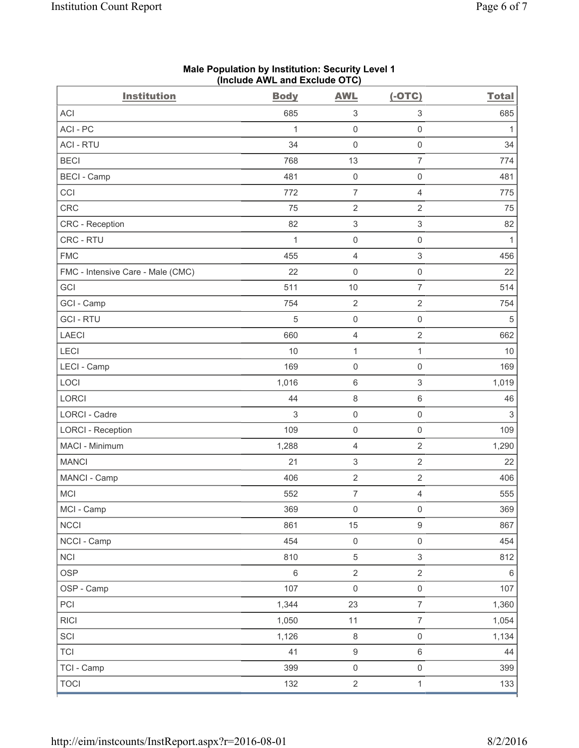| <b>Institution</b>                | <b>Body</b> | <b>AWL</b>              | $(-OTC)$            | <b>Total</b> |
|-----------------------------------|-------------|-------------------------|---------------------|--------------|
| <b>ACI</b>                        | 685         | 3                       | $\,$ 3 $\,$         | 685          |
| ACI - PC                          | 1           | $\mathsf{O}\xspace$     | $\mathsf{O}\xspace$ | $\mathbf{1}$ |
| <b>ACI - RTU</b>                  | 34          | $\mathbf 0$             | $\mathsf 0$         | 34           |
| <b>BECI</b>                       | 768         | 13                      | $\overline{7}$      | 774          |
| <b>BECI</b> - Camp                | 481         | $\mathsf{O}\xspace$     | $\mathsf{O}\xspace$ | 481          |
| CCI                               | 772         | 7                       | $\overline{4}$      | 775          |
| CRC                               | 75          | 2                       | $\sqrt{2}$          | 75           |
| <b>CRC</b> - Reception            | 82          | 3                       | $\mathsf 3$         | 82           |
| CRC - RTU                         | 1           | $\mathsf{O}\xspace$     | $\mathsf{O}\xspace$ | 1            |
| <b>FMC</b>                        | 455         | $\overline{\mathbf{4}}$ | $\mathsf 3$         | 456          |
| FMC - Intensive Care - Male (CMC) | 22          | 0                       | $\mathsf{O}\xspace$ | 22           |
| GCI                               | 511         | 10                      | $\overline{7}$      | 514          |
| GCI - Camp                        | 754         | $\sqrt{2}$              | $\overline{2}$      | 754          |
| <b>GCI-RTU</b>                    | 5           | $\mathbf 0$             | $\mathsf 0$         | 5            |
| <b>LAECI</b>                      | 660         | $\overline{\mathbf{4}}$ | $\sqrt{2}$          | 662          |
| LECI                              | 10          | 1                       | 1                   | 10           |
| LECI - Camp                       | 169         | $\mathbf 0$             | $\mathsf{O}\xspace$ | 169          |
| LOCI                              | 1,016       | 6                       | $\sqrt{3}$          | 1,019        |
| LORCI                             | 44          | $\,8\,$                 | $\,6\,$             | 46           |
| <b>LORCI - Cadre</b>              | 3           | $\mathbf 0$             | $\mathsf{O}\xspace$ | $\sqrt{3}$   |
| <b>LORCI - Reception</b>          | 109         | 0                       | $\mathsf{O}\xspace$ | 109          |
| MACI - Minimum                    | 1,288       | 4                       | $\sqrt{2}$          | 1,290        |
| <b>MANCI</b>                      | 21          | 3                       | $\overline{2}$      | 22           |
| MANCI - Camp                      | 406         | $\sqrt{2}$              | $\sqrt{2}$          | 406          |
| <b>MCI</b>                        | 552         | $\overline{7}$          | $\overline{4}$      | 555          |
| MCI - Camp                        | 369         | $\mathsf{O}\xspace$     | $\mathsf{O}\xspace$ | 369          |
| <b>NCCI</b>                       | 861         | 15                      | $\boldsymbol{9}$    | 867          |
| NCCI - Camp                       | 454         | $\mathsf{O}\xspace$     | $\mathsf{O}\xspace$ | 454          |
| <b>NCI</b>                        | 810         | $\,$ 5 $\,$             | $\mathfrak{S}$      | 812          |
| <b>OSP</b>                        | $\,6\,$     | $\sqrt{2}$              | $\overline{2}$      | $\,6\,$      |
| OSP - Camp                        | 107         | $\mathsf{O}\xspace$     | $\mathsf{O}\xspace$ | 107          |
| PCI                               | 1,344       | 23                      | $\overline{7}$      | 1,360        |
| <b>RICI</b>                       | 1,050       | 11                      | $\boldsymbol{7}$    | 1,054        |
| SCI                               | 1,126       | $\,8\,$                 | $\mathsf{O}\xspace$ | 1,134        |
| <b>TCI</b>                        | 41          | $\boldsymbol{9}$        | $\,6\,$             | 44           |
| TCI - Camp                        | 399         | $\mathsf 0$             | $\mathsf{O}\xspace$ | 399          |
| <b>TOCI</b>                       | 132         | $\overline{c}$          | $\mathbf{1}$        | 133          |

### **Male Population by Institution: Security Level 1 (Include AWL and Exclude OTC)**